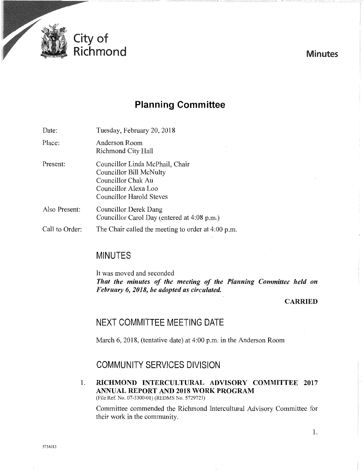

# **Planning Committee**

Date: Tuesday, February 20, 2018

Place: Anderson Room Richmond City Hall

- Present: Councillor Linda McPhail, Chair Councillor Bill McNulty Councillor Chak Au Councillor Alexa Loo Councillor Harold Steves
- Also Present: Councillor Derek Dang Councillor Carol Day (entered at 4:08 p.m.)
- Call to Order: The Chair called the meeting to order at 4:00 p.m.

# MINUTES

It was moved and seconded *That the minutes of the meeting of the Planning Committee held on February 6, 2018, be adopted as circulated.* 

## **CARRIED**

# NEXT COMMITTEE MEETING DATE

March 6, 2018, (tentative date) at 4:00 p.m. in the Anderson Room

## COMMUNITY SERVICES DIVISION

1. RICHMOND INTERCULTURAL ADVISORY COMMITTEE 2017 ANNUAL REPORT AND 2018 WORK PROGRAM (File Ref. No. 07-3300-01) (REDMS No. 5729723)

Committee commended the Richmond Intercultural Advisory Committee for their work in the community.

Minutes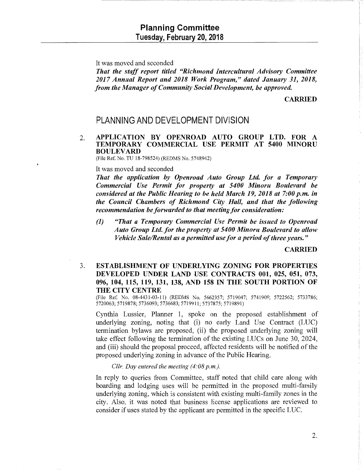It was moved and seconded

*That the staff report titled "Richmond Intercultural Advisory Committee 2017 Annual Report and 2018 Work Program," dated January 31, 2018, from the Manager of Community Social Development, be approved.* 

CARRIED

## PLANNING AND DEVELOPMENT DIVISION

### 2. APPLICATION BY OPENROAD AUTO GROUP LTD. FOR A TEMPORARY COMMERCIAL USE PERMIT AT 5400 MINORU BOULEVARD

(File Ref. No. TU 18-798524) (REDMS No. 5748942)

#### It was moved and seconded

*That the application by Openroad Auto Group Ltd. for a Temporary Commercial Use Permit for property at 5400 Minoru Boulevard be considered at the Public Hearing to be held March 19, 2018 at 7:00 p.m. in the Council Chambers of Richmond City Hall, and that the following recommendation be forwarded to that meeting for consideration:* 

*(1) "That a Temporary Commercial Use Permit be issued to Openroad Auto Group Ltd. for the property at 5400 Minoru Boulevard to allow Vehicle Sale/Rental as a permitted use for a period of three years."* 

CARRIED

## 3. ESTABLISHMENT OF UNDERLYING ZONING FOR PROPERTIES DEVELOPED UNDER LAND USE CONTRACTS 001, 025, 051, 073, 096, 104, 115, 119, 131, 138, AND 158 IN THE SOUTH PORTION OF THE CITY CENTRE

(File Ref. No. 08-4431-03-11) (REDMS No. 5662357; 5719047; 5741909; 5722562; 5733786; 5720063;5719878; 5736093;5736683;5719911;5737875; 5719891)

Cynthia Lussier, Planner 1, spoke on the proposed establishment of underlying zoning, noting that (i) no early Land Use Contract (LUC) termination bylaws are proposed, (ii) the proposed underlying zoning will take effect following the termination of the existing LUCs on June 30, 2024, and (iii) should the proposal proceed, affected residents will be notified of the proposed underlying zoning in advance of the Public Hearing.

*Cllr. Day entered the meeting (4:08 p.m.).* 

In reply to queries from Committee, staff noted that child care along with boarding and lodging uses will be permitted in the proposed multi-family underlying zoning, which is consistent with existing multi-family zones in the city. Also, it was noted that business license applications are reviewed to consider if uses stated by the applicant are permitted in the specific LUC.

2.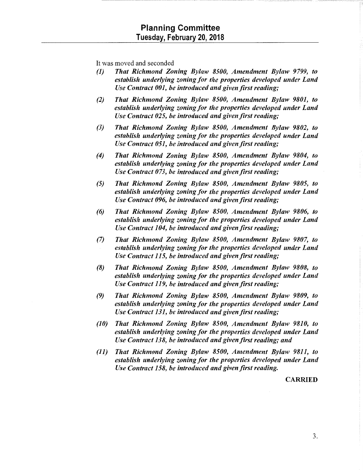It was moved and seconded

- *(1) That Richmond Zoning Bylaw 8500, Amendment Bylaw 9799, to establish underlying zoning for the properties developed under Land Use Contract 001, be introduced and given first reading;*
- *(2) That Richmond Zoning Bylaw 8500, Amendment Bylaw 9801, to establish underlying zoning for the properties developed under Land Use Contract 025, be introduced and given first reading;*
- *(3) That Richmond Zoning Bylaw 8500, Amendment Bylaw 9802, to establish underlying zoning for the properties developed under Land Use Contract 051, be introduced and given first reading;*
- *(4) That Richmond Zoning Bylaw 8500, Amendment Bylaw 9804, to establish underlying zoning for the properties developed under Land Use Contract 073, be introduced and given first reading;*
- *(5) That Richmond Zoning Bylaw 8500, Amendment Bylaw 9805, to establish underlying zoning for the properties developed under Land Use Contract 096, be introduced and given first reading;*
- *(6) That Richmond Zoning Bylaw 8500, Amendment Bylaw 9806, to establish underlying zoning for the properties developed under Land Use Contract 104, be introduced and given first reading;*
- *(7) That Richmond Zoning Bylaw 8500, Amendment Bylaw 9807, to establish underlying zoning for the properties developed under Land Use Contract 115, be introduced and given first reading;*
- *(8) That Richmond Zoning Bylaw 8500, Amendment Bylaw 9808, to establish underlying zoning for the properties developed under Land Use Contract 119, be introduced and given first reading;*
- *(9) That Richmond Zoning Bylaw 8500, Amendment Bylaw 9809, to establish underlying zoning for the properties developed under Land Use Contract 131, be introduced and given first reading;*
- *(1 0) That Richmond Zoning Bylaw 8500, Amendment Bylaw 9810, to establish underlying zoning for the properties developed under Land Use Contract 138, be introduced and given first reading; and*
- *(11) That Richmond Zoning Bylaw 8500, Amendment Bylaw 9811, to establish underlying zoning for the properties developed under Land Use Contract 158, be introduced and given first reading.*

CARRIED